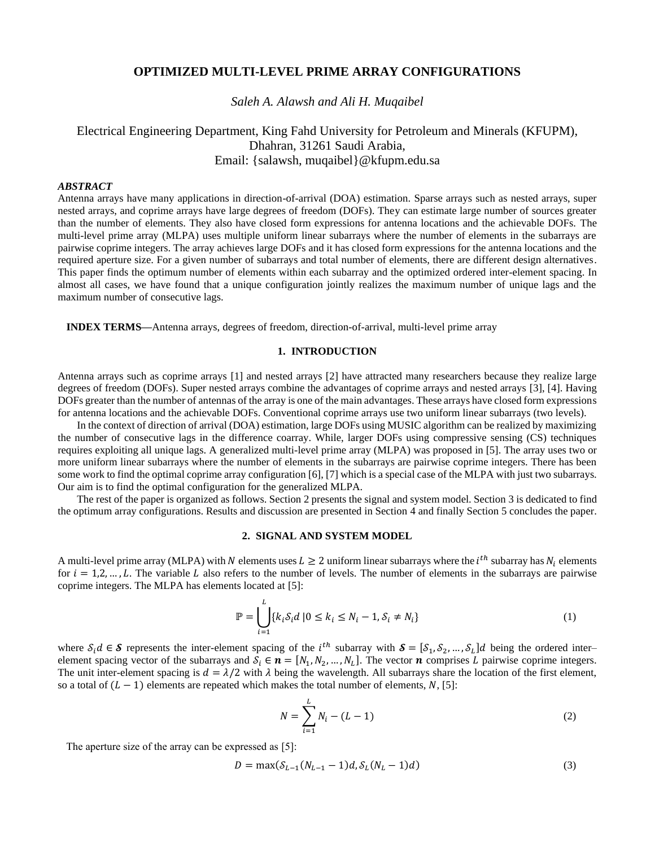## **OPTIMIZED MULTI-LEVEL PRIME ARRAY CONFIGURATIONS**

*Saleh A. Alawsh and Ali H. Muqaibel*

# Electrical Engineering Department, King Fahd University for Petroleum and Minerals (KFUPM), Dhahran, 31261 Saudi Arabia, Email: {salawsh, muqaibel}@kfupm.edu.sa

### *ABSTRACT*

Antenna arrays have many applications in direction-of-arrival (DOA) estimation. Sparse arrays such as nested arrays, super nested arrays, and coprime arrays have large degrees of freedom (DOFs). They can estimate large number of sources greater than the number of elements. They also have closed form expressions for antenna locations and the achievable DOFs. The multi-level prime array (MLPA) uses multiple uniform linear subarrays where the number of elements in the subarrays are pairwise coprime integers. The array achieves large DOFs and it has closed form expressions for the antenna locations and the required aperture size. For a given number of subarrays and total number of elements, there are different design alternatives. This paper finds the optimum number of elements within each subarray and the optimized ordered inter-element spacing. In almost all cases, we have found that a unique configuration jointly realizes the maximum number of unique lags and the maximum number of consecutive lags.

**INDEX TERMS***—*Antenna arrays, degrees of freedom, direction-of-arrival, multi-level prime array

## **1. INTRODUCTION**

Antenna arrays such as coprime arrays [1] and nested arrays [2] have attracted many researchers because they realize large degrees of freedom (DOFs). Super nested arrays combine the advantages of coprime arrays and nested arrays [3], [4]. Having DOFs greater than the number of antennas of the array is one of the main advantages. These arrays have closed form expressions for antenna locations and the achievable DOFs. Conventional coprime arrays use two uniform linear subarrays (two levels).

In the context of direction of arrival (DOA) estimation, large DOFs using MUSIC algorithm can be realized by maximizing the number of consecutive lags in the difference coarray. While, larger DOFs using compressive sensing (CS) techniques requires exploiting all unique lags. A generalized multi-level prime array (MLPA) was proposed in [5]. The array uses two or more uniform linear subarrays where the number of elements in the subarrays are pairwise coprime integers. There has been some work to find the optimal coprime array configuration [6], [7] which is a special case of the MLPA with just two subarrays. Our aim is to find the optimal configuration for the generalized MLPA.

The rest of the paper is organized as follows. Section 2 presents the signal and system model. Section 3 is dedicated to find the optimum array configurations. Results and discussion are presented in Section 4 and finally Section 5 concludes the paper.

## **2. SIGNAL AND SYSTEM MODEL**

A multi-level prime array (MLPA) with N elements uses  $L \ge 2$  uniform linear subarrays where the  $i^{th}$  subarray has  $N_i$  elements for  $i = 1, 2, ..., L$ . The variable L also refers to the number of levels. The number of elements in the subarrays are pairwise coprime integers. The MLPA has elements located at [5]:

$$
\mathbb{P} = \bigcup_{i=1}^{L} \{k_i \delta_i d \mid 0 \le k_i \le N_i - 1, \delta_i \ne N_i\}
$$
 (1)

where  $S_i d \in S$  represents the inter-element spacing of the *i*<sup>th</sup> subarray with  $S = [S_1, S_2, ..., S_L]d$  being the ordered interelement spacing vector of the subarrays and  $S_i \in \mathbf{n} = [N_1, N_2, ..., N_L]$ . The vector  $\mathbf{n}$  comprises L pairwise coprime integers. The unit inter-element spacing is  $d = \lambda/2$  with  $\lambda$  being the wavelength. All subarrays share the location of the first element, so a total of  $(L - 1)$  elements are repeated which makes the total number of elements, N, [5]:

$$
N = \sum_{i=1}^{L} N_i - (L - 1)
$$
 (2)

The aperture size of the array can be expressed as [5]:

$$
D = \max(\delta_{L-1}(N_{L-1} - 1)d, \delta_L(N_L - 1)d) \tag{3}
$$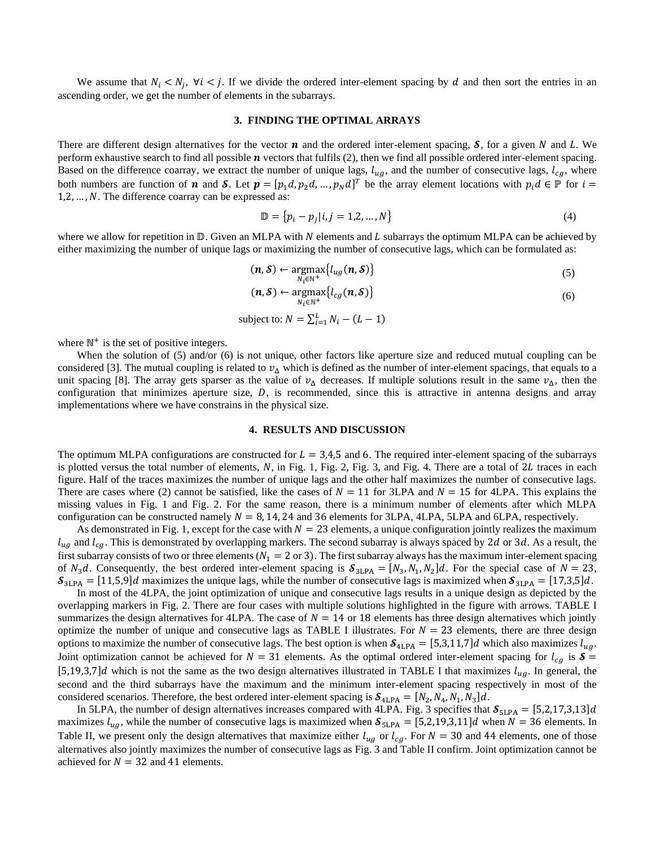We assume that  $N_i < N_j$ ,  $\forall i < j$ . If we divide the ordered inter-element spacing by d and then sort the entries in an ascending order, we get the number of elements in the subarrays.

#### **3. FINDING THE OPTIMAL ARRAYS**

There are different design alternatives for the vector  $\bm{n}$  and the ordered inter-element spacing,  $\bm{S}$ , for a given N and L. We perform exhaustive search to find all possible  $\boldsymbol{n}$  vectors that fulfils (2), then we find all possible ordered inter-element spacing. Based on the difference coarray, we extract the number of unique lags,  $l_{uq}$ , and the number of consecutive lags,  $l_{cq}$ , where both numbers are function of **n** and **S**. Let  $p = [p_1 d, p_2 d, ..., p_N d]^T$  be the array element locations with  $p_i d \in \mathbb{P}$  for  $i =$  $1, 2, \ldots, N$ . The difference coarray can be expressed as:

$$
\mathbb{D} = \{p_i - p_j | i, j = 1, 2, ..., N\}
$$
 (4)

where we allow for repetition in  $\mathbb D$ . Given an MLPA with N elements and L subarrays the optimum MLPA can be achieved by either maximizing the number of unique lags or maximizing the number of consecutive lags, which can be formulated as:

$$
(\mathbf{n}, \mathbf{S}) \leftarrow \underset{N_i \in \mathbb{N}^+}{\text{argmax}} \{ l_{ug}(\mathbf{n}, \mathbf{S}) \} \tag{5}
$$

$$
(\mathbf{n}, \mathbf{S}) \leftarrow \underset{N_i \in \mathbb{N}^+}{\text{argmax}} \{ l_{cg}(\mathbf{n}, \mathbf{S}) \} \tag{6}
$$

subject to: 
$$
N = \sum_{i=1}^{L} N_i - (L - 1)
$$

where  $\mathbb{N}^+$  is the set of positive integers.

When the solution of (5) and/or (6) is not unique, other factors like aperture size and reduced mutual coupling can be considered [3]. The mutual coupling is related to  $v_{\Delta}$  which is defined as the number of inter-element spacings, that equals to a unit spacing [8]. The array gets sparser as the value of  $v_A$  decreases. If multiple solutions result in the same  $v_A$ , then the configuration that minimizes aperture size,  $D$ , is recommended, since this is attractive in antenna designs and array implementations where we have constrains in the physical size.

## **4. RESULTS AND DISCUSSION**

The optimum MLPA configurations are constructed for  $L = 3.4.5$  and 6. The required inter-element spacing of the subarrays is plotted versus the total number of elements,  $N$ , in Fig. 1, Fig. 2, Fig. 3, and Fig. 4. There are a total of 2L traces in each figure. Half of the traces maximizes the number of unique lags and the other half maximizes the number of consecutive lags. There are cases where (2) cannot be satisfied, like the cases of  $N = 11$  for 3LPA and  $N = 15$  for 4LPA. This explains the missing values in Fig. 1 and Fig. 2. For the same reason, there is a minimum number of elements after which MLPA configuration can be constructed namely  $N = 8$ , 14, 24 and 36 elements for 3LPA, 4LPA, 5LPA and 6LPA, respectively.

As demonstrated in Fig. 1, except for the case with  $N = 23$  elements, a unique configuration jointly realizes the maximum  $l_{uq}$  and  $l_{cq}$ . This is demonstrated by overlapping markers. The second subarray is always spaced by 2d or 3d. As a result, the first subarray consists of two or three elements ( $N_1 = 2$  or 3). The first subarray always has the maximum inter-element spacing of  $N_3d$ . Consequently, the best ordered inter-element spacing is  $S_{3LPA} = [N_3, N_1, N_2]d$ . For the special case of  $N = 23$ ,  $S_{3LPA} = [11,5,9]d$  maximizes the unique lags, while the number of consecutive lags is maximized when  $S_{3LPA} = [17,3,5]d$ .

In most of the 4LPA, the joint optimization of unique and consecutive lags results in a unique design as depicted by the overlapping markers in Fig. 2. There are four cases with multiple solutions highlighted in the figure with arrows. TABLE I summarizes the design alternatives for 4LPA. The case of  $N = 14$  or 18 elements has three design alternatives which jointly optimize the number of unique and consecutive lags as TABLE I illustrates. For  $N = 23$  elements, there are three design options to maximize the number of consecutive lags. The best option is when  $S_{4LPA} = [5,3,11,7]d$  which also maximizes  $l_{ug}$ . Joint optimization cannot be achieved for  $N = 31$  elements. As the optimal ordered inter-element spacing for  $l_{cg}$  is  $S =$ [5,19,3,7]d which is not the same as the two design alternatives illustrated in TABLE I that maximizes  $l_{ua}$ . In general, the second and the third subarrays have the maximum and the minimum inter-element spacing respectively in most of the considered scenarios. Therefore, the best ordered inter-element spacing is  $S_{4LPA} = [N_2, N_4, N_1, N_3]d$ .

In 5LPA, the number of design alternatives increases compared with 4LPA. Fig. 3 specifies that  $S_{5\text{LPA}} = [5,2,17,3,13]d$ maximizes  $l_{ug}$ , while the number of consecutive lags is maximized when  $S_{SLPA} = [5,2,19,3,11]d$  when  $N = 36$  elements. In Table II, we present only the design alternatives that maximize either  $l_{ug}$  or  $l_{cg}$ . For  $N = 30$  and 44 elements, one of those alternatives also jointly maximizes the number of consecutive lags as Fig. 3 and Table II confirm. Joint optimization cannot be achieved for  $N = 32$  and 41 elements.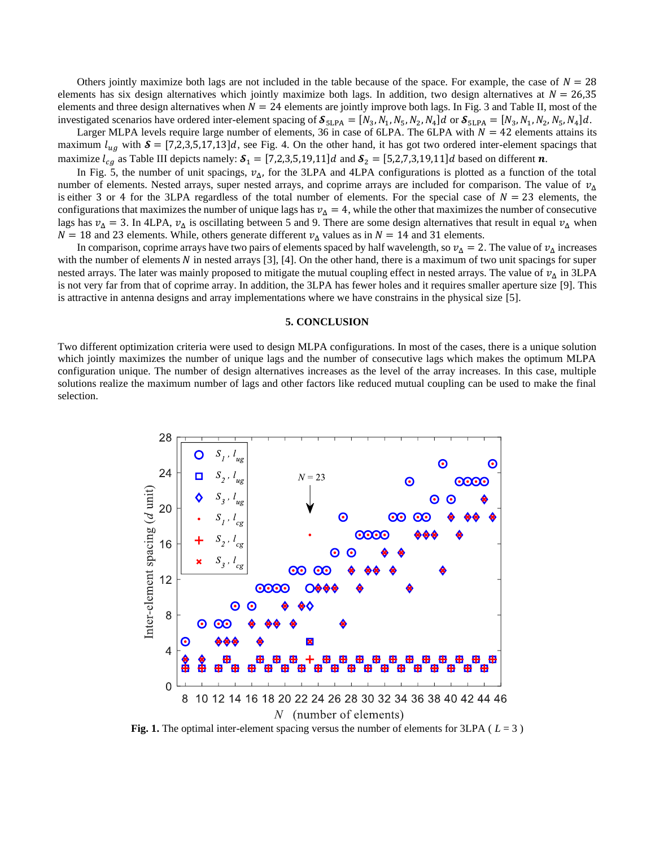Others jointly maximize both lags are not included in the table because of the space. For example, the case of  $N = 28$ elements has six design alternatives which jointly maximize both lags. In addition, two design alternatives at  $N = 26.35$ elements and three design alternatives when  $N = 24$  elements are jointly improve both lags. In Fig. 3 and Table II, most of the investigated scenarios have ordered inter-element spacing of  $S_{5LPA} = [N_3, N_1, N_5, N_2, N_4]d$  or  $S_{5LPA} = [N_3, N_1, N_2, N_5, N_4]d$ .

Larger MLPA levels require large number of elements, 36 in case of 6LPA. The 6LPA with  $N = 42$  elements attains its maximum  $l_{uq}$  with  $\mathcal{S} = [7,2,3,5,17,13]d$ , see Fig. 4. On the other hand, it has got two ordered inter-element spacings that maximize  $l_{ca}$  as Table III depicts namely:  $\mathcal{S}_1 = [7,2,3,5,19,11]d$  and  $\mathcal{S}_2 = [5,2,7,3,19,11]d$  based on different  $\boldsymbol{n}$ .

In Fig. 5, the number of unit spacings,  $v_{\Delta}$ , for the 3LPA and 4LPA configurations is plotted as a function of the total number of elements. Nested arrays, super nested arrays, and coprime arrays are included for comparison. The value of  $v_A$ is either 3 or 4 for the 3LPA regardless of the total number of elements. For the special case of  $N = 23$  elements, the configurations that maximizes the number of unique lags has  $\nu_A = 4$ , while the other that maximizes the number of consecutive lags has  $v_{\Delta} = 3$ . In 4LPA,  $v_{\Delta}$  is oscillating between 5 and 9. There are some design alternatives that result in equal  $v_{\Delta}$  when  $N = 18$  and 23 elements. While, others generate different  $v_{\Delta}$  values as in  $N = 14$  and 31 elements.

In comparison, coprime arrays have two pairs of elements spaced by half wavelength, so  $v_A = 2$ . The value of  $v_A$  increases with the number of elements  $N$  in nested arrays [3], [4]. On the other hand, there is a maximum of two unit spacings for super nested arrays. The later was mainly proposed to mitigate the mutual coupling effect in nested arrays. The value of  $v_A$  in 3LPA is not very far from that of coprime array. In addition, the 3LPA has fewer holes and it requires smaller aperture size [9]. This is attractive in antenna designs and array implementations where we have constrains in the physical size [5].

#### **5. CONCLUSION**

Two different optimization criteria were used to design MLPA configurations. In most of the cases, there is a unique solution which jointly maximizes the number of unique lags and the number of consecutive lags which makes the optimum MLPA configuration unique. The number of design alternatives increases as the level of the array increases. In this case, multiple solutions realize the maximum number of lags and other factors like reduced mutual coupling can be used to make the final selection.



**Fig. 1.** The optimal inter-element spacing versus the number of elements for 3LPA ( $L = 3$ )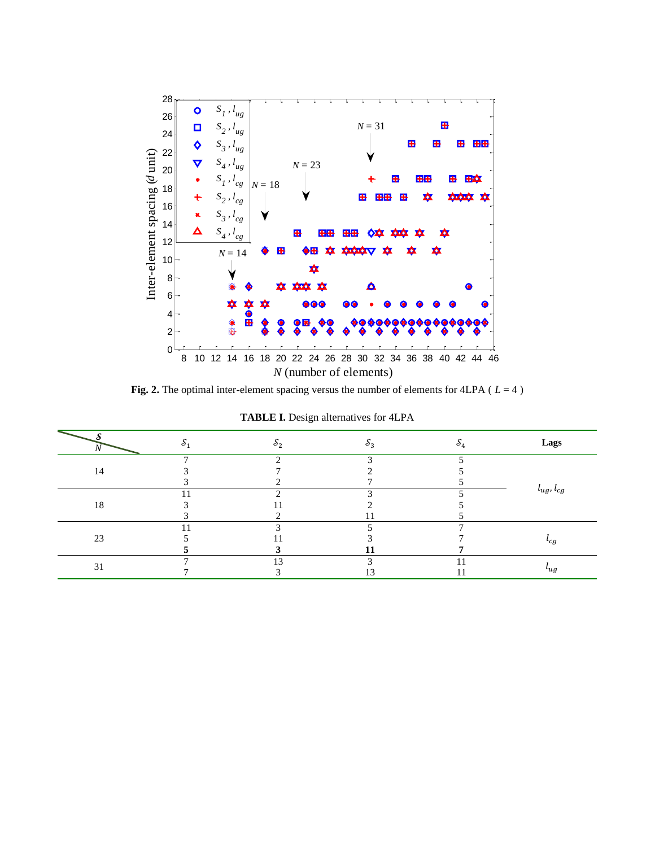

**Fig. 2.** The optimal inter-element spacing versus the number of elements for 4LPA ( *L* = 4 )

| O<br>1V |   | ⌒<br>o۶ | $\sim$<br>ο3 | $\mathcal{O}_4$ | Lags             |
|---------|---|---------|--------------|-----------------|------------------|
| 14      | − | $\sim$  | $\sim$       |                 |                  |
|         |   |         |              |                 |                  |
|         |   |         |              |                 |                  |
| 18      |   |         | $\sim$       |                 | $l_{ug}, l_{cg}$ |
|         |   |         |              |                 |                  |
|         |   |         |              |                 |                  |
| 23      |   | $\sim$  |              |                 |                  |
|         |   |         |              |                 | c <sub>g</sub>   |
|         |   |         | L J          |                 |                  |
|         |   | 13      |              |                 |                  |
| 31      |   |         | $\sqrt{2}$   |                 | $\iota_{ug}$     |

|  |  |  |  | <b>TABLE I.</b> Design alternatives for 4LPA |  |  |  |  |  |  |
|--|--|--|--|----------------------------------------------|--|--|--|--|--|--|
|--|--|--|--|----------------------------------------------|--|--|--|--|--|--|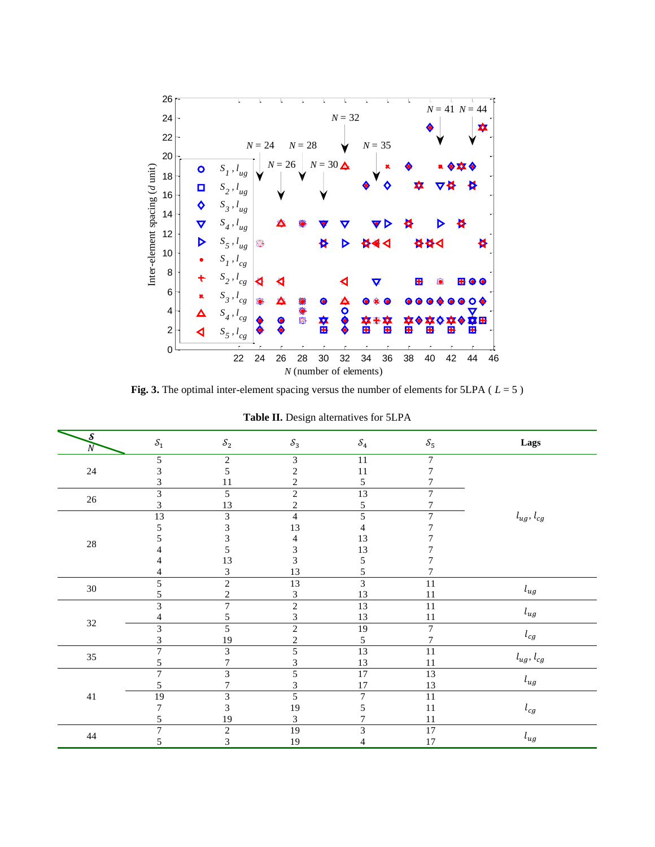

**Fig. 3.** The optimal inter-element spacing versus the number of elements for 5LPA ( *L* = 5 )

| $\mathcal{S}$<br>$\overline{N}$ | $\mathcal{S}_1$                           | $\mathcal{S}_2$                          | $\mathcal{S}_3$                           | $\mathcal{S}_4$                           | $\mathcal{S}_5$                  | Lags                |
|---------------------------------|-------------------------------------------|------------------------------------------|-------------------------------------------|-------------------------------------------|----------------------------------|---------------------|
| $24\,$                          | 5<br>3<br>3                               | $\overline{2}$<br>5<br>11                | 3<br>$\overline{c}$<br>$\overline{c}$     | $11\,$<br>11<br>5                         | $\overline{7}$<br>7<br>7         |                     |
| $26\,$                          | $\overline{\mathbf{3}}$<br>$\overline{3}$ | $\overline{5}$<br>13                     | $\overline{2}$<br>$\overline{c}$          | 13<br>$\sqrt{5}$                          | $\overline{7}$<br>$\overline{7}$ |                     |
| $28\,$                          | 13<br>5<br>5<br>4<br>4<br>4               | $\mathfrak{Z}$<br>3<br>3<br>5<br>13<br>3 | $\overline{4}$<br>13<br>4<br>3<br>3<br>13 | 5<br>$\overline{4}$<br>13<br>13<br>5<br>5 | $\tau$<br>7<br>7                 | $l_{ug}, \, l_{cg}$ |
| $30\,$                          | 5<br>5                                    | $\overline{2}$<br>$\overline{c}$         | $\overline{13}$<br>3                      | $\overline{\mathbf{3}}$<br>13             | $\overline{11}$<br>11            | $l_{ug}$            |
| $32\,$                          | $\overline{3}$<br>$\overline{4}$          | $\overline{7}$<br>5                      | $\overline{2}$<br>3                       | 13<br>13                                  | 11<br>11                         | $l_{ug}$            |
|                                 | $\overline{3}$<br>3                       | 5<br>19                                  | $\overline{2}$<br>$\boldsymbol{2}$        | 19<br>$\sqrt{5}$                          | $\overline{7}$<br>$\overline{7}$ | $l_{cg}$            |
| 35                              | $\overline{7}$<br>5                       | 3<br>7                                   | 5<br>3                                    | 13<br>13                                  | 11<br>11                         | $l_{ug}, \, l_{cg}$ |
|                                 | $\overline{7}$<br>5                       | 3<br>$\overline{7}$                      | 5<br>3                                    | $\overline{17}$<br>17                     | $\overline{13}$<br>13            | $l_{ug}$            |
| 41                              | 19<br>7<br>5                              | $\mathfrak{Z}$<br>$\mathfrak{Z}$<br>19   | 5<br>19<br>3                              | $\boldsymbol{7}$<br>5<br>7                | 11<br>11<br>$11\,$               | $l_{cg}$            |
| $44\,$                          | $\overline{7}$<br>5                       | $\sqrt{2}$<br>3                          | 19<br>19                                  | 3<br>$\overline{4}$                       | $\overline{17}$<br>17            | $l_{ug}$            |

**Table II.** Design alternatives for 5LPA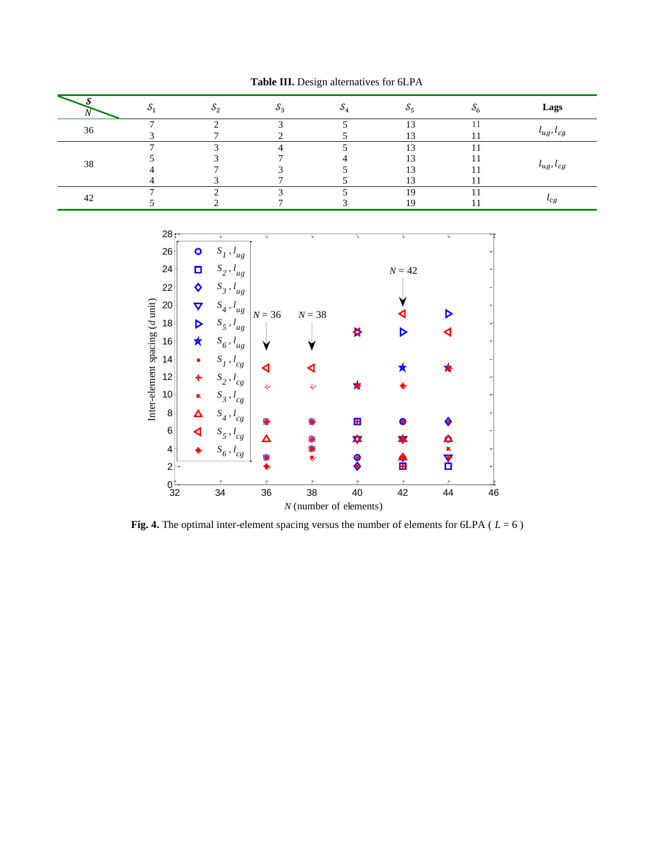|    | c) -           | $^{o_2}$ | $\sim$<br>OЗ | $\sim$<br>ಲನ                                                 |    | Lags                     |
|----|----------------|----------|--------------|--------------------------------------------------------------|----|--------------------------|
| 36 | −              |          |              | 1 <sub>2</sub><br>12                                         |    | $\iota_{ug}, \iota_{cg}$ |
| 38 | $\overline{ }$ |          |              | 1 <sub>2</sub><br>$\sim$<br>1 <sub>2</sub><br>1 <sub>2</sub> | 11 | $\iota_{ug}, \iota_{cg}$ |
| 42 |                |          |              | 19                                                           |    | $\iota_{cg}$             |



**Fig. 4.** The optimal inter-element spacing versus the number of elements for 6LPA ( *L* = 6 )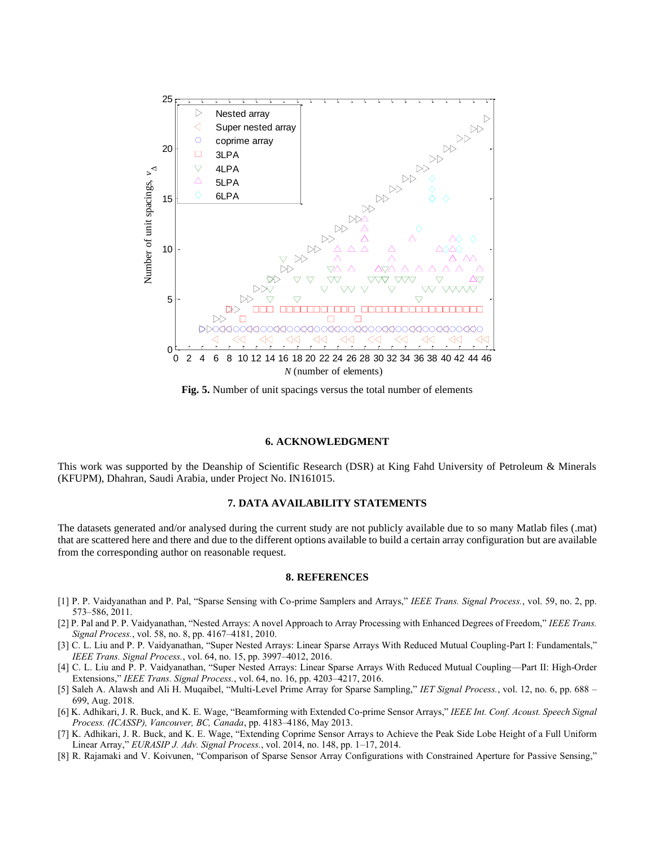

**Fig. 5.** Number of unit spacings versus the total number of elements

#### **6. ACKNOWLEDGMENT**

This work was supported by the Deanship of Scientific Research (DSR) at King Fahd University of Petroleum & Minerals (KFUPM), Dhahran, Saudi Arabia, under Project No. IN161015.

### **7. DATA AVAILABILITY STATEMENTS**

The datasets generated and/or analysed during the current study are not publicly available due to so many Matlab files (.mat) that are scattered here and there and due to the different options available to build a certain array configuration but are available from the corresponding author on reasonable request.

#### **8. REFERENCES**

- [1] P. P. Vaidyanathan and P. Pal, "Sparse Sensing with Co-prime Samplers and Arrays," *IEEE Trans. Signal Process.*, vol. 59, no. 2, pp. 573–586, 2011.
- [2] P. Pal and P. P. Vaidyanathan, "Nested Arrays: A novel Approach to Array Processing with Enhanced Degrees of Freedom," *IEEE Trans. Signal Process.*, vol. 58, no. 8, pp. 4167–4181, 2010.
- [3] C. L. Liu and P. P. Vaidyanathan, "Super Nested Arrays: Linear Sparse Arrays With Reduced Mutual Coupling-Part I: Fundamentals," *IEEE Trans. Signal Process.*, vol. 64, no. 15, pp. 3997–4012, 2016.
- [4] C. L. Liu and P. P. Vaidyanathan, "Super Nested Arrays: Linear Sparse Arrays With Reduced Mutual Coupling—Part II: High-Order Extensions," *IEEE Trans. Signal Process.*, vol. 64, no. 16, pp. 4203–4217, 2016.
- [5] Saleh A. Alawsh and Ali H. Muqaibel, "Multi-Level Prime Array for Sparse Sampling," *IET Signal Process.*, vol. 12, no. 6, pp. 688 699, Aug. 2018.
- [6] K. Adhikari, J. R. Buck, and K. E. Wage, "Beamforming with Extended Co-prime Sensor Arrays," *IEEE Int. Conf. Acoust. Speech Signal Process. (ICASSP), Vancouver, BC, Canada*, pp. 4183–4186, May 2013.
- [7] K. Adhikari, J. R. Buck, and K. E. Wage, "Extending Coprime Sensor Arrays to Achieve the Peak Side Lobe Height of a Full Uniform Linear Array," *EURASIP J. Adv. Signal Process.*, vol. 2014, no. 148, pp. 1–17, 2014.
- [8] R. Rajamaki and V. Koivunen, "Comparison of Sparse Sensor Array Configurations with Constrained Aperture for Passive Sensing,"